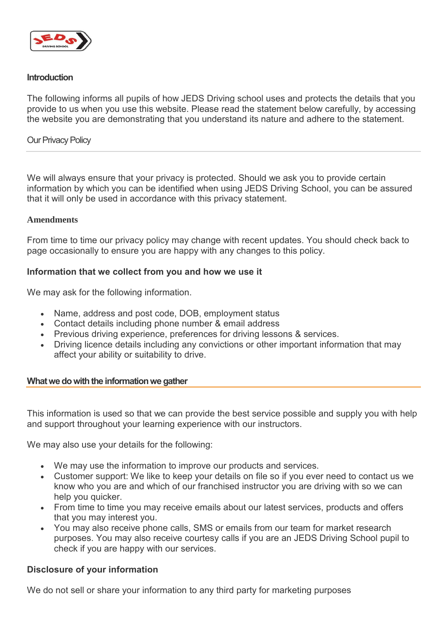

# **Introduction**

The following informs all pupils of how JEDS Driving school uses and protects the details that you provide to us when you use this website. Please read the statement below carefully, by accessing the website you are demonstrating that you understand its nature and adhere to the statement.

Our Privacy Policy

We will always ensure that your privacy is protected. Should we ask you to provide certain information by which you can be identified when using JEDS Driving School, you can be assured that it will only be used in accordance with this privacy statement.

#### **Amendments**

From time to time our privacy policy may change with recent updates. You should check back to page occasionally to ensure you are happy with any changes to this policy.

### **Information that we collect from you and how we use it**

We may ask for the following information.

- Name, address and post code, DOB, employment status
- Contact details including phone number & email address
- Previous driving experience, preferences for driving lessons & services.
- Driving licence details including any convictions or other important information that may affect your ability or suitability to drive.

#### **What we do with the information we gather**

This information is used so that we can provide the best service possible and supply you with help and support throughout your learning experience with our instructors.

We may also use your details for the following:

- We may use the information to improve our products and services.
- Customer support: We like to keep your details on file so if you ever need to contact us we know who you are and which of our franchised instructor you are driving with so we can help you quicker.
- From time to time you may receive emails about our latest services, products and offers that you may interest you.
- You may also receive phone calls, SMS or emails from our team for market research purposes. You may also receive courtesy calls if you are an JEDS Driving School pupil to check if you are happy with our services.

# **Disclosure of your information**

We do not sell or share your information to any third party for marketing purposes